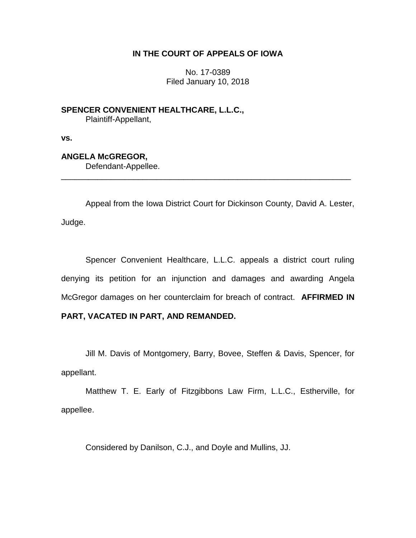# **IN THE COURT OF APPEALS OF IOWA**

No. 17-0389 Filed January 10, 2018

**SPENCER CONVENIENT HEALTHCARE, L.L.C.,** Plaintiff-Appellant,

**vs.**

# **ANGELA McGREGOR,**

Defendant-Appellee.

Appeal from the Iowa District Court for Dickinson County, David A. Lester, Judge.

\_\_\_\_\_\_\_\_\_\_\_\_\_\_\_\_\_\_\_\_\_\_\_\_\_\_\_\_\_\_\_\_\_\_\_\_\_\_\_\_\_\_\_\_\_\_\_\_\_\_\_\_\_\_\_\_\_\_\_\_\_\_\_\_

Spencer Convenient Healthcare, L.L.C. appeals a district court ruling denying its petition for an injunction and damages and awarding Angela McGregor damages on her counterclaim for breach of contract. **AFFIRMED IN** 

# **PART, VACATED IN PART, AND REMANDED.**

Jill M. Davis of Montgomery, Barry, Bovee, Steffen & Davis, Spencer, for appellant.

Matthew T. E. Early of Fitzgibbons Law Firm, L.L.C., Estherville, for appellee.

Considered by Danilson, C.J., and Doyle and Mullins, JJ.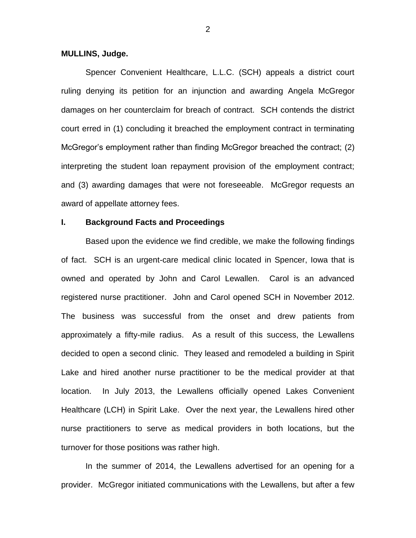#### **MULLINS, Judge.**

Spencer Convenient Healthcare, L.L.C. (SCH) appeals a district court ruling denying its petition for an injunction and awarding Angela McGregor damages on her counterclaim for breach of contract. SCH contends the district court erred in (1) concluding it breached the employment contract in terminating McGregor's employment rather than finding McGregor breached the contract; (2) interpreting the student loan repayment provision of the employment contract; and (3) awarding damages that were not foreseeable. McGregor requests an award of appellate attorney fees.

### **I. Background Facts and Proceedings**

Based upon the evidence we find credible, we make the following findings of fact. SCH is an urgent-care medical clinic located in Spencer, Iowa that is owned and operated by John and Carol Lewallen. Carol is an advanced registered nurse practitioner. John and Carol opened SCH in November 2012. The business was successful from the onset and drew patients from approximately a fifty-mile radius. As a result of this success, the Lewallens decided to open a second clinic. They leased and remodeled a building in Spirit Lake and hired another nurse practitioner to be the medical provider at that location. In July 2013, the Lewallens officially opened Lakes Convenient Healthcare (LCH) in Spirit Lake. Over the next year, the Lewallens hired other nurse practitioners to serve as medical providers in both locations, but the turnover for those positions was rather high.

In the summer of 2014, the Lewallens advertised for an opening for a provider. McGregor initiated communications with the Lewallens, but after a few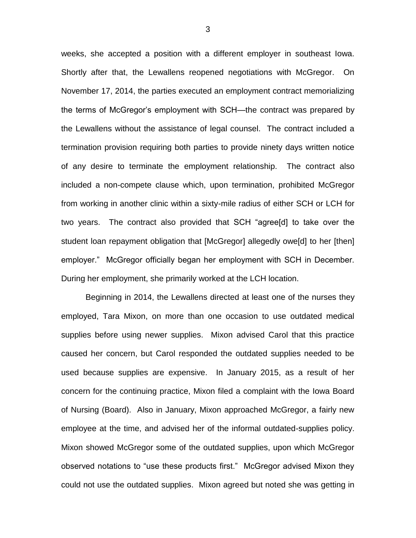weeks, she accepted a position with a different employer in southeast Iowa. Shortly after that, the Lewallens reopened negotiations with McGregor. On November 17, 2014, the parties executed an employment contract memorializing the terms of McGregor's employment with SCH—the contract was prepared by the Lewallens without the assistance of legal counsel. The contract included a termination provision requiring both parties to provide ninety days written notice of any desire to terminate the employment relationship. The contract also included a non-compete clause which, upon termination, prohibited McGregor from working in another clinic within a sixty-mile radius of either SCH or LCH for two years. The contract also provided that SCH "agree[d] to take over the student loan repayment obligation that [McGregor] allegedly owe[d] to her [then] employer." McGregor officially began her employment with SCH in December. During her employment, she primarily worked at the LCH location.

Beginning in 2014, the Lewallens directed at least one of the nurses they employed, Tara Mixon, on more than one occasion to use outdated medical supplies before using newer supplies. Mixon advised Carol that this practice caused her concern, but Carol responded the outdated supplies needed to be used because supplies are expensive. In January 2015, as a result of her concern for the continuing practice, Mixon filed a complaint with the Iowa Board of Nursing (Board). Also in January, Mixon approached McGregor, a fairly new employee at the time, and advised her of the informal outdated-supplies policy. Mixon showed McGregor some of the outdated supplies, upon which McGregor observed notations to "use these products first." McGregor advised Mixon they could not use the outdated supplies. Mixon agreed but noted she was getting in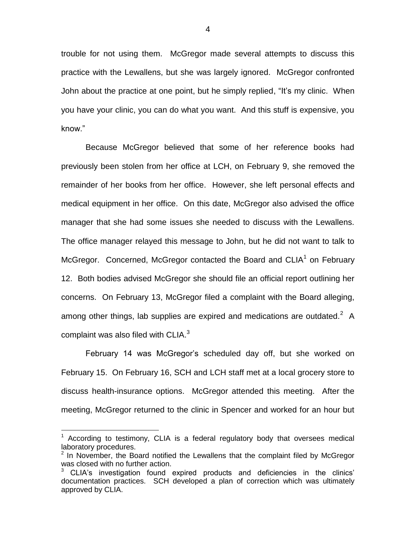trouble for not using them. McGregor made several attempts to discuss this practice with the Lewallens, but she was largely ignored. McGregor confronted John about the practice at one point, but he simply replied, "It's my clinic. When you have your clinic, you can do what you want. And this stuff is expensive, you know."

Because McGregor believed that some of her reference books had previously been stolen from her office at LCH, on February 9, she removed the remainder of her books from her office. However, she left personal effects and medical equipment in her office. On this date, McGregor also advised the office manager that she had some issues she needed to discuss with the Lewallens. The office manager relayed this message to John, but he did not want to talk to McGregor. Concerned, McGregor contacted the Board and  $CLIA<sup>1</sup>$  on February 12. Both bodies advised McGregor she should file an official report outlining her concerns. On February 13, McGregor filed a complaint with the Board alleging, among other things, lab supplies are expired and medications are outdated.<sup>2</sup> A complaint was also filed with CLIA. $3$ 

February 14 was McGregor's scheduled day off, but she worked on February 15. On February 16, SCH and LCH staff met at a local grocery store to discuss health-insurance options. McGregor attended this meeting. After the meeting, McGregor returned to the clinic in Spencer and worked for an hour but

 $\overline{a}$ 

 $1$  According to testimony, CLIA is a federal regulatory body that oversees medical laboratory procedures.

 $2$  In November, the Board notified the Lewallens that the complaint filed by McGregor was closed with no further action.

<sup>3</sup> CLIA's investigation found expired products and deficiencies in the clinics' documentation practices. SCH developed a plan of correction which was ultimately approved by CLIA.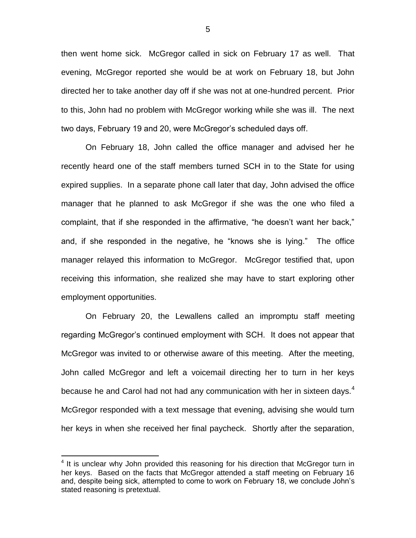then went home sick. McGregor called in sick on February 17 as well. That evening, McGregor reported she would be at work on February 18, but John directed her to take another day off if she was not at one-hundred percent. Prior to this, John had no problem with McGregor working while she was ill. The next two days, February 19 and 20, were McGregor's scheduled days off.

On February 18, John called the office manager and advised her he recently heard one of the staff members turned SCH in to the State for using expired supplies. In a separate phone call later that day, John advised the office manager that he planned to ask McGregor if she was the one who filed a complaint, that if she responded in the affirmative, "he doesn't want her back," and, if she responded in the negative, he "knows she is lying." The office manager relayed this information to McGregor. McGregor testified that, upon receiving this information, she realized she may have to start exploring other employment opportunities.

On February 20, the Lewallens called an impromptu staff meeting regarding McGregor's continued employment with SCH. It does not appear that McGregor was invited to or otherwise aware of this meeting. After the meeting, John called McGregor and left a voicemail directing her to turn in her keys because he and Carol had not had any communication with her in sixteen days.<sup>4</sup> McGregor responded with a text message that evening, advising she would turn her keys in when she received her final paycheck. Shortly after the separation,

 $\overline{a}$ 

<sup>&</sup>lt;sup>4</sup> It is unclear why John provided this reasoning for his direction that McGregor turn in her keys. Based on the facts that McGregor attended a staff meeting on February 16 and, despite being sick, attempted to come to work on February 18, we conclude John's stated reasoning is pretextual.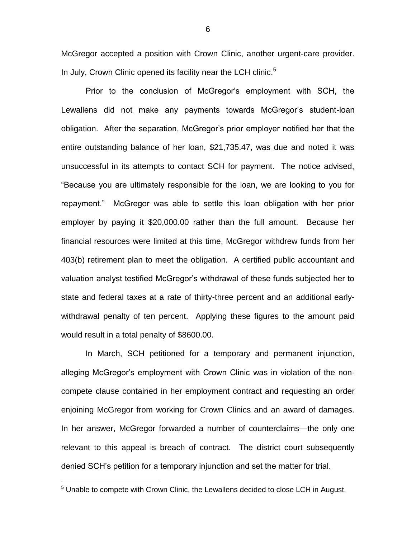McGregor accepted a position with Crown Clinic, another urgent-care provider. In July, Crown Clinic opened its facility near the LCH clinic.<sup>5</sup>

Prior to the conclusion of McGregor's employment with SCH, the Lewallens did not make any payments towards McGregor's student-loan obligation. After the separation, McGregor's prior employer notified her that the entire outstanding balance of her loan, \$21,735.47, was due and noted it was unsuccessful in its attempts to contact SCH for payment. The notice advised, "Because you are ultimately responsible for the loan, we are looking to you for repayment." McGregor was able to settle this loan obligation with her prior employer by paying it \$20,000.00 rather than the full amount. Because her financial resources were limited at this time, McGregor withdrew funds from her 403(b) retirement plan to meet the obligation. A certified public accountant and valuation analyst testified McGregor's withdrawal of these funds subjected her to state and federal taxes at a rate of thirty-three percent and an additional earlywithdrawal penalty of ten percent. Applying these figures to the amount paid would result in a total penalty of \$8600.00.

In March, SCH petitioned for a temporary and permanent injunction, alleging McGregor's employment with Crown Clinic was in violation of the noncompete clause contained in her employment contract and requesting an order enjoining McGregor from working for Crown Clinics and an award of damages. In her answer, McGregor forwarded a number of counterclaims—the only one relevant to this appeal is breach of contract. The district court subsequently denied SCH's petition for a temporary injunction and set the matter for trial.

 $\overline{a}$ 

 $5$  Unable to compete with Crown Clinic, the Lewallens decided to close LCH in August.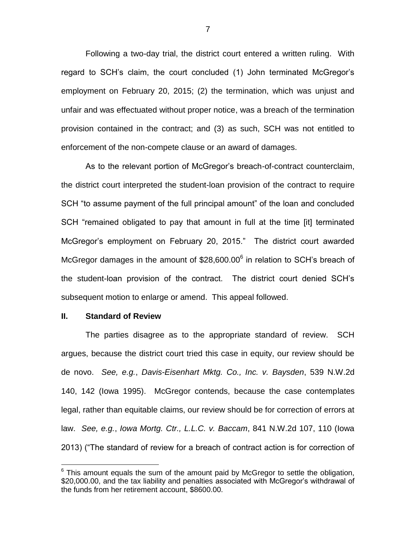Following a two-day trial, the district court entered a written ruling. With regard to SCH's claim, the court concluded (1) John terminated McGregor's employment on February 20, 2015; (2) the termination, which was unjust and unfair and was effectuated without proper notice, was a breach of the termination provision contained in the contract; and (3) as such, SCH was not entitled to enforcement of the non-compete clause or an award of damages.

As to the relevant portion of McGregor's breach-of-contract counterclaim, the district court interpreted the student-loan provision of the contract to require SCH "to assume payment of the full principal amount" of the loan and concluded SCH "remained obligated to pay that amount in full at the time [it] terminated McGregor's employment on February 20, 2015." The district court awarded McGregor damages in the amount of  $$28,600.00^6$  in relation to SCH's breach of the student-loan provision of the contract. The district court denied SCH's subsequent motion to enlarge or amend. This appeal followed.

#### **II. Standard of Review**

 $\overline{a}$ 

The parties disagree as to the appropriate standard of review. SCH argues, because the district court tried this case in equity, our review should be de novo. *See, e.g.*, *Davis-Eisenhart Mktg. Co., Inc. v. Baysden*, 539 N.W.2d 140, 142 (Iowa 1995). McGregor contends, because the case contemplates legal, rather than equitable claims, our review should be for correction of errors at law. *See, e.g.*, *Iowa Mortg. Ctr., L.L.C. v. Baccam*, 841 N.W.2d 107, 110 (Iowa 2013) ("The standard of review for a breach of contract action is for correction of

 $6$  This amount equals the sum of the amount paid by McGregor to settle the obligation, \$20,000.00, and the tax liability and penalties associated with McGregor's withdrawal of the funds from her retirement account, \$8600.00.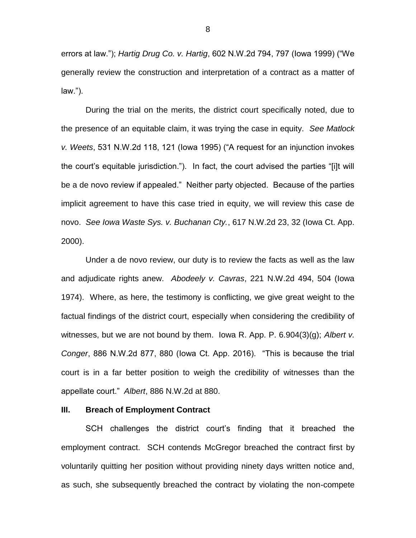errors at law."); *Hartig Drug Co. v. Hartig*, 602 N.W.2d 794, 797 (Iowa 1999) ("We generally review the construction and interpretation of a contract as a matter of law.").

During the trial on the merits, the district court specifically noted, due to the presence of an equitable claim, it was trying the case in equity. *See Matlock v. Weets*, 531 N.W.2d 118, 121 (Iowa 1995) ("A request for an injunction invokes the court's equitable jurisdiction."). In fact, the court advised the parties "[i]t will be a de novo review if appealed." Neither party objected. Because of the parties implicit agreement to have this case tried in equity, we will review this case de novo. *See Iowa Waste Sys. v. Buchanan Cty.*, 617 N.W.2d 23, 32 (Iowa Ct. App. 2000).

Under a de novo review, our duty is to review the facts as well as the law and adjudicate rights anew. *Abodeely v. Cavras*, 221 N.W.2d 494, 504 (Iowa 1974).Where, as here, the testimony is conflicting, we give great weight to the factual findings of the district court, especially when considering the credibility of witnesses, but we are not bound by them. Iowa R. App. P. 6.904(3)(g); *Albert v. Conger*, 886 N.W.2d 877, 880 (Iowa Ct. App. 2016). "This is because the trial court is in a far better position to weigh the credibility of witnesses than the appellate court." *Albert*, 886 N.W.2d at 880.

### **III. Breach of Employment Contract**

SCH challenges the district court's finding that it breached the employment contract. SCH contends McGregor breached the contract first by voluntarily quitting her position without providing ninety days written notice and, as such, she subsequently breached the contract by violating the non-compete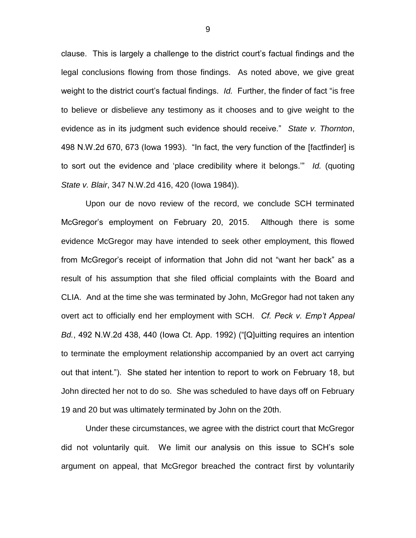clause. This is largely a challenge to the district court's factual findings and the legal conclusions flowing from those findings. As noted above, we give great weight to the district court's factual findings. *Id.* Further, the finder of fact "is free to believe or disbelieve any testimony as it chooses and to give weight to the evidence as in its judgment such evidence should receive." *State v. Thornton*, 498 N.W.2d 670, 673 (Iowa 1993). "In fact, the very function of the [factfinder] is to sort out the evidence and 'place credibility where it belongs.'" *Id.* (quoting *State v. Blair*, 347 N.W.2d 416, 420 (Iowa 1984)).

Upon our de novo review of the record, we conclude SCH terminated McGregor's employment on February 20, 2015. Although there is some evidence McGregor may have intended to seek other employment, this flowed from McGregor's receipt of information that John did not "want her back" as a result of his assumption that she filed official complaints with the Board and CLIA. And at the time she was terminated by John, McGregor had not taken any overt act to officially end her employment with SCH. *Cf. Peck v. Emp't Appeal Bd.*, 492 N.W.2d 438, 440 (Iowa Ct. App. 1992) ("[Q]uitting requires an intention to terminate the employment relationship accompanied by an overt act carrying out that intent."). She stated her intention to report to work on February 18, but John directed her not to do so. She was scheduled to have days off on February 19 and 20 but was ultimately terminated by John on the 20th.

Under these circumstances, we agree with the district court that McGregor did not voluntarily quit. We limit our analysis on this issue to SCH's sole argument on appeal, that McGregor breached the contract first by voluntarily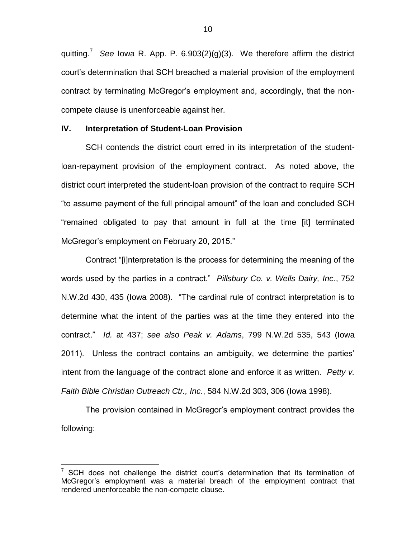quitting.<sup>7</sup> *See* Iowa R. App. P. 6.903(2)(g)(3). We therefore affirm the district court's determination that SCH breached a material provision of the employment contract by terminating McGregor's employment and, accordingly, that the noncompete clause is unenforceable against her.

### **IV. Interpretation of Student-Loan Provision**

SCH contends the district court erred in its interpretation of the studentloan-repayment provision of the employment contract. As noted above, the district court interpreted the student-loan provision of the contract to require SCH "to assume payment of the full principal amount" of the loan and concluded SCH "remained obligated to pay that amount in full at the time [it] terminated McGregor's employment on February 20, 2015."

Contract "[i]nterpretation is the process for determining the meaning of the words used by the parties in a contract." *Pillsbury Co. v. Wells Dairy, Inc.*, 752 N.W.2d 430, 435 (Iowa 2008). "The cardinal rule of contract interpretation is to determine what the intent of the parties was at the time they entered into the contract." *Id.* at 437; *see also Peak v. Adams*, 799 N.W.2d 535, 543 (Iowa 2011). Unless the contract contains an ambiguity, we determine the parties' intent from the language of the contract alone and enforce it as written. *Petty v. Faith Bible Christian Outreach Ctr., Inc.*, 584 N.W.2d 303, 306 (Iowa 1998).

The provision contained in McGregor's employment contract provides the following:

 $\overline{a}$ 

SCH does not challenge the district court's determination that its termination of McGregor's employment was a material breach of the employment contract that rendered unenforceable the non-compete clause.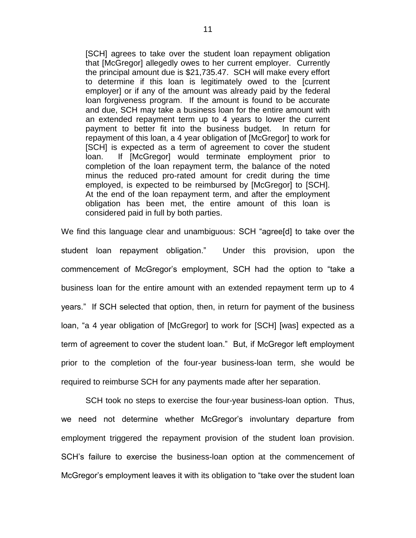[SCH] agrees to take over the student loan repayment obligation that [McGregor] allegedly owes to her current employer. Currently the principal amount due is \$21,735.47. SCH will make every effort to determine if this loan is legitimately owed to the [current employer] or if any of the amount was already paid by the federal loan forgiveness program. If the amount is found to be accurate and due, SCH may take a business loan for the entire amount with an extended repayment term up to 4 years to lower the current payment to better fit into the business budget. In return for repayment of this loan, a 4 year obligation of [McGregor] to work for [SCH] is expected as a term of agreement to cover the student loan. If [McGregor] would terminate employment prior to completion of the loan repayment term, the balance of the noted minus the reduced pro-rated amount for credit during the time employed, is expected to be reimbursed by [McGregor] to [SCH]. At the end of the loan repayment term, and after the employment obligation has been met, the entire amount of this loan is considered paid in full by both parties.

We find this language clear and unambiguous: SCH "agree[d] to take over the student loan repayment obligation." Under this provision, upon the commencement of McGregor's employment, SCH had the option to "take a business loan for the entire amount with an extended repayment term up to 4 years." If SCH selected that option, then, in return for payment of the business loan, "a 4 year obligation of [McGregor] to work for [SCH] [was] expected as a term of agreement to cover the student loan." But, if McGregor left employment prior to the completion of the four-year business-loan term, she would be required to reimburse SCH for any payments made after her separation.

SCH took no steps to exercise the four-year business-loan option. Thus, we need not determine whether McGregor's involuntary departure from employment triggered the repayment provision of the student loan provision. SCH's failure to exercise the business-loan option at the commencement of McGregor's employment leaves it with its obligation to "take over the student loan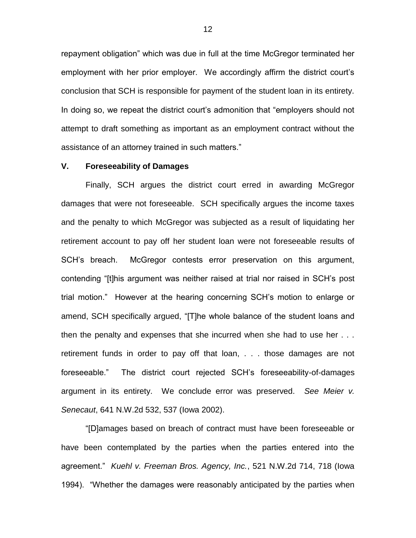repayment obligation" which was due in full at the time McGregor terminated her employment with her prior employer. We accordingly affirm the district court's conclusion that SCH is responsible for payment of the student loan in its entirety. In doing so, we repeat the district court's admonition that "employers should not attempt to draft something as important as an employment contract without the assistance of an attorney trained in such matters."

### **V. Foreseeability of Damages**

Finally, SCH argues the district court erred in awarding McGregor damages that were not foreseeable. SCH specifically argues the income taxes and the penalty to which McGregor was subjected as a result of liquidating her retirement account to pay off her student loan were not foreseeable results of SCH's breach. McGregor contests error preservation on this argument, contending "[t]his argument was neither raised at trial nor raised in SCH's post trial motion." However at the hearing concerning SCH's motion to enlarge or amend, SCH specifically argued, "[T]he whole balance of the student loans and then the penalty and expenses that she incurred when she had to use her . . . retirement funds in order to pay off that loan, . . . those damages are not foreseeable." The district court rejected SCH's foreseeability-of-damages argument in its entirety. We conclude error was preserved. *See Meier v. Senecaut*, 641 N.W.2d 532, 537 (Iowa 2002).

"[D]amages based on breach of contract must have been foreseeable or have been contemplated by the parties when the parties entered into the agreement." *Kuehl v. Freeman Bros. Agency, Inc.*, 521 N.W.2d 714, 718 (Iowa 1994). "Whether the damages were reasonably anticipated by the parties when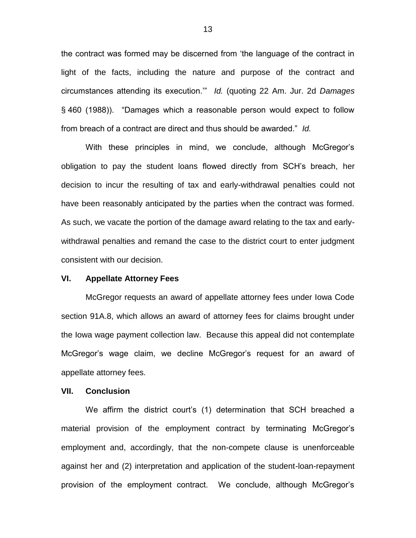the contract was formed may be discerned from 'the language of the contract in light of the facts, including the nature and purpose of the contract and circumstances attending its execution.'" *Id.* (quoting 22 Am. Jur. 2d *Damages* § 460 (1988)). "Damages which a reasonable person would expect to follow from breach of a contract are direct and thus should be awarded." *Id.*

With these principles in mind, we conclude, although McGregor's obligation to pay the student loans flowed directly from SCH's breach, her decision to incur the resulting of tax and early-withdrawal penalties could not have been reasonably anticipated by the parties when the contract was formed. As such, we vacate the portion of the damage award relating to the tax and earlywithdrawal penalties and remand the case to the district court to enter judgment consistent with our decision.

#### **VI. Appellate Attorney Fees**

McGregor requests an award of appellate attorney fees under Iowa Code section 91A.8, which allows an award of attorney fees for claims brought under the Iowa wage payment collection law. Because this appeal did not contemplate McGregor's wage claim, we decline McGregor's request for an award of appellate attorney fees.

#### **VII. Conclusion**

We affirm the district court's (1) determination that SCH breached a material provision of the employment contract by terminating McGregor's employment and, accordingly, that the non-compete clause is unenforceable against her and (2) interpretation and application of the student-loan-repayment provision of the employment contract. We conclude, although McGregor's